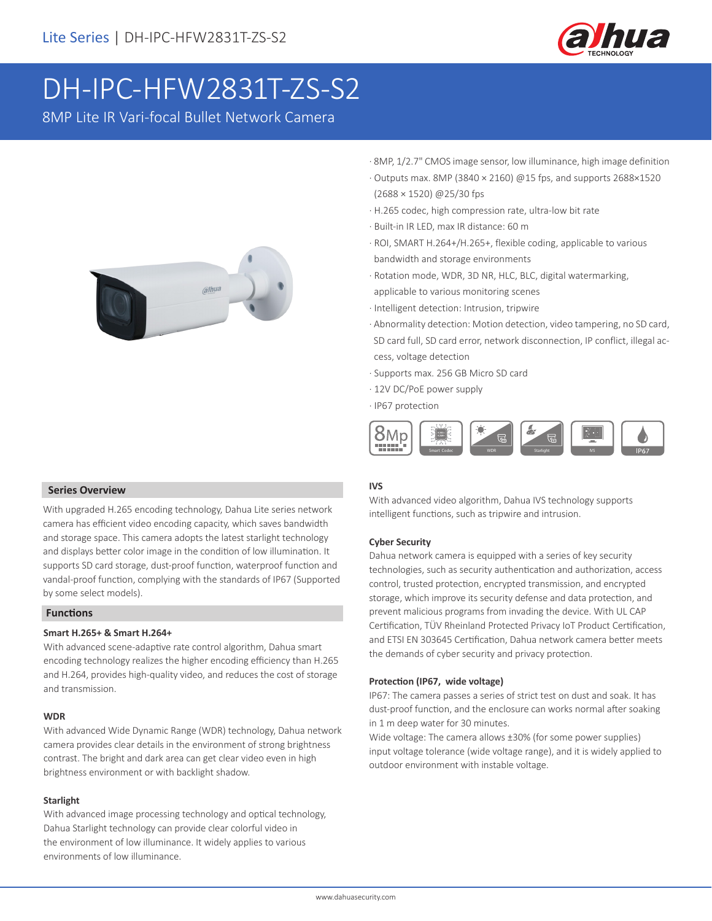

# DH-IPC-HFW2831T-ZS-S2

8MP Lite IR Vari-focal Bullet Network Camera



### **Series Overview**

With upgraded H.265 encoding technology, Dahua Lite series network camera has efficient video encoding capacity, which saves bandwidth and storage space. This camera adopts the latest starlight technology and displays better color image in the condition of low illumination. It supports SD card storage, dust-proof function, waterproof function and vandal-proof function, complying with the standards of IP67 (Supported by some select models).

# **Functions**

### **Smart H.265+ & Smart H.264+**

With advanced scene-adaptive rate control algorithm, Dahua smart encoding technology realizes the higher encoding efficiency than H.265 and H.264, provides high-quality video, and reduces the cost of storage and transmission.

### **WDR**

With advanced Wide Dynamic Range (WDR) technology, Dahua network camera provides clear details in the environment of strong brightness contrast. The bright and dark area can get clear video even in high brightness environment or with backlight shadow.

### **Starlight**

With advanced image processing technology and optical technology, Dahua Starlight technology can provide clear colorful video in the environment of low illuminance. It widely applies to various environments of low illuminance.

- · 8MP, 1/2.7" CMOS image sensor, low illuminance, high image definition
- · Outputs max. 8MP (3840 × 2160) @15 fps, and supports 2688×1520 (2688 × 1520) @25/30 fps
- · H.265 codec, high compression rate, ultra-low bit rate
- · Built-in IR LED, max IR distance: 60 m
- · ROI, SMART H.264+/H.265+, flexible coding, applicable to various bandwidth and storage environments
- · Rotation mode, WDR, 3D NR, HLC, BLC, digital watermarking, applicable to various monitoring scenes
- · Intelligent detection: Intrusion, tripwire
- · Abnormality detection: Motion detection, video tampering, no SD card, SD card full, SD card error, network disconnection, IP conflict, illegal ac cess, voltage detection
- · Supports max. 256 GB Micro SD card
- · 12V DC/PoE power supply
- · IP67 protection



### **IVS**

With advanced video algorithm, Dahua IVS technology supports intelligent functions, such as tripwire and intrusion.

#### **Cyber Security**

Dahua network camera is equipped with a series of key security technologies, such as security authentication and authorization, access control, trusted protection, encrypted transmission, and encrypted storage, which improve its security defense and data protection, and prevent malicious programs from invading the device. With UL CAP Certification, TÜV Rheinland Protected Privacy IoT Product Certification, and ETSI EN 303645 Certification, Dahua network camera better meets the demands of cyber security and privacy protection.

#### **Protection (IP67, wide voltage)**

IP67: The camera passes a series of strict test on dust and soak. It has dust-proof function, and the enclosure can works normal after soaking in 1 m deep water for 30 minutes.

Wide voltage: The camera allows ±30% (for some power supplies) input voltage tolerance (wide voltage range), and it is widely applied to outdoor environment with instable voltage.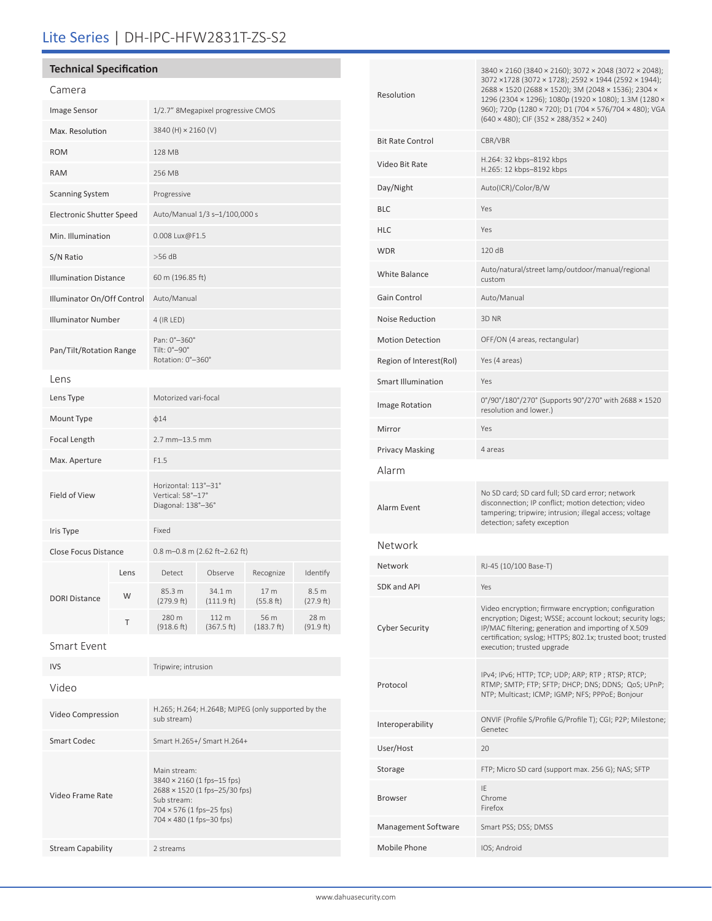# Lite Series | DH-IPC-HFW2831T-ZS-S2

# **Technical Specification**

| Camera                          |      |                                                                 |                      |                    |                    |
|---------------------------------|------|-----------------------------------------------------------------|----------------------|--------------------|--------------------|
| Image Sensor                    |      | 1/2.7" 8Megapixel progressive CMOS                              |                      |                    |                    |
| Max. Resolution                 |      | 3840 (H) × 2160 (V)                                             |                      |                    |                    |
| <b>ROM</b>                      |      | 128 MB                                                          |                      |                    |                    |
| <b>RAM</b>                      |      | 256 MB                                                          |                      |                    |                    |
| <b>Scanning System</b>          |      | Progressive                                                     |                      |                    |                    |
| <b>Electronic Shutter Speed</b> |      | Auto/Manual 1/3 s-1/100,000 s                                   |                      |                    |                    |
| Min. Illumination               |      | 0.008 Lux@F1.5                                                  |                      |                    |                    |
| S/N Ratio                       |      | $>56$ dB                                                        |                      |                    |                    |
| <b>Illumination Distance</b>    |      | 60 m (196.85 ft)                                                |                      |                    |                    |
| Illuminator On/Off Control      |      | Auto/Manual                                                     |                      |                    |                    |
| <b>Illuminator Number</b>       |      | 4 (IR LED)                                                      |                      |                    |                    |
| Pan/Tilt/Rotation Range         |      | Pan: 0°-360°<br>Tilt: 0°-90°<br>Rotation: 0°-360°               |                      |                    |                    |
| Lens                            |      |                                                                 |                      |                    |                    |
| Lens Type                       |      | Motorized vari-focal                                            |                      |                    |                    |
| Mount Type                      |      | $\phi$ 14                                                       |                      |                    |                    |
| Focal Length                    |      | 2.7 mm-13.5 mm                                                  |                      |                    |                    |
| Max. Aperture                   |      | F1.5                                                            |                      |                    |                    |
| Field of View                   |      | Horizontal: 113°-31°<br>Vertical: 58°-17°<br>Diagonal: 138°-36° |                      |                    |                    |
| Iris Type                       |      | Fixed                                                           |                      |                    |                    |
| Close Focus Distance            |      | 0.8 m-0.8 m (2.62 ft-2.62 ft)                                   |                      |                    |                    |
| <b>DORI Distance</b>            | Lens | Detect                                                          | Observe              | Recognize          | Identify           |
|                                 | W    | 85.3 m<br>(279.9 ft)                                            | 34.1 m<br>(111.9 ft) | 17 m<br>(55.8 ft)  | 8.5 m<br>(27.9 ft) |
|                                 | Τ    | 280 m<br>(918.6 ft)                                             | 112 m<br>(367.5 ft)  | 56 m<br>(183.7 ft) | 28 m<br>(91.9 ft)  |
| Smart Event                     |      |                                                                 |                      |                    |                    |
| <b>IVS</b>                      |      | Tripwire; intrusion                                             |                      |                    |                    |
| Video                           |      |                                                                 |                      |                    |                    |

Video Compression H.265; H.264; H.264B; MJPEG (only supported by the sub stream)

> 3840 × 2160 (1 fps–15 fps) 2688 × 1520 (1 fps–25/30 fps)

Main stream:

Sub stream: 704 × 576 (1 fps–25 fps) 704 × 480 (1 fps–30 fps)

Smart Codec Smart H.265+/ Smart H.264+

Video Frame Rate

Stream Capability 2 streams

| Resolution                | 3840 × 2160 (3840 × 2160); 3072 × 2048 (3072 × 2048);<br>3072 ×1728 (3072 × 1728); 2592 × 1944 (2592 × 1944);<br>2688 × 1520 (2688 × 1520); 3M (2048 × 1536); 2304 ×<br>1296 (2304 × 1296); 1080p (1920 × 1080); 1.3M (1280 ×<br>960); 720p (1280 × 720); D1 (704 × 576/704 × 480); VGA<br>$(640 \times 480)$ ; CIF $(352 \times 288/352 \times 240)$ |  |  |
|---------------------------|-------------------------------------------------------------------------------------------------------------------------------------------------------------------------------------------------------------------------------------------------------------------------------------------------------------------------------------------------------|--|--|
| <b>Bit Rate Control</b>   | CBR/VBR                                                                                                                                                                                                                                                                                                                                               |  |  |
| Video Bit Rate            | H.264: 32 kbps-8192 kbps<br>H.265: 12 kbps-8192 kbps                                                                                                                                                                                                                                                                                                  |  |  |
| Day/Night                 | Auto(ICR)/Color/B/W                                                                                                                                                                                                                                                                                                                                   |  |  |
| <b>BLC</b>                | Yes                                                                                                                                                                                                                                                                                                                                                   |  |  |
| <b>HLC</b>                | Yes                                                                                                                                                                                                                                                                                                                                                   |  |  |
| <b>WDR</b>                | 120 dB                                                                                                                                                                                                                                                                                                                                                |  |  |
| White Balance             | Auto/natural/street lamp/outdoor/manual/regional<br>custom                                                                                                                                                                                                                                                                                            |  |  |
| Gain Control              | Auto/Manual                                                                                                                                                                                                                                                                                                                                           |  |  |
| Noise Reduction           | 3D NR                                                                                                                                                                                                                                                                                                                                                 |  |  |
| <b>Motion Detection</b>   | OFF/ON (4 areas, rectangular)                                                                                                                                                                                                                                                                                                                         |  |  |
| Region of Interest(RoI)   | Yes (4 areas)                                                                                                                                                                                                                                                                                                                                         |  |  |
| <b>Smart Illumination</b> | Yes                                                                                                                                                                                                                                                                                                                                                   |  |  |
| Image Rotation            | 0°/90°/180°/270° (Supports 90°/270° with 2688 × 1520<br>resolution and lower.)                                                                                                                                                                                                                                                                        |  |  |
| Mirror                    | Yes                                                                                                                                                                                                                                                                                                                                                   |  |  |
| <b>Privacy Masking</b>    | 4 areas                                                                                                                                                                                                                                                                                                                                               |  |  |
| Alarm                     |                                                                                                                                                                                                                                                                                                                                                       |  |  |
| Alarm Event               | No SD card; SD card full; SD card error; network<br>disconnection; IP conflict; motion detection; video<br>tampering; tripwire; intrusion; illegal access; voltage<br>detection; safety exception                                                                                                                                                     |  |  |
| Network                   |                                                                                                                                                                                                                                                                                                                                                       |  |  |
| Network                   | RJ-45 (10/100 Base-T)                                                                                                                                                                                                                                                                                                                                 |  |  |
| SDK and API               | Yes                                                                                                                                                                                                                                                                                                                                                   |  |  |
| <b>Cyber Security</b>     | Video encryption; firmware encryption; configuration<br>encryption; Digest; WSSE; account lockout; security logs;<br>IP/MAC filtering; generation and importing of X.509<br>certification; syslog; HTTPS; 802.1x; trusted boot; trusted<br>execution; trusted upgrade                                                                                 |  |  |
| Protocol                  | IPv4; IPv6; HTTP; TCP; UDP; ARP; RTP; RTSP; RTCP;<br>RTMP; SMTP; FTP; SFTP; DHCP; DNS; DDNS; QoS; UPnP;<br>NTP; Multicast; ICMP; IGMP; NFS; PPPoE; Bonjour                                                                                                                                                                                            |  |  |
| Interoperability          | ONVIF (Profile S/Profile G/Profile T); CGI; P2P; Milestone;<br>Genetec                                                                                                                                                                                                                                                                                |  |  |
| User/Host                 | 20                                                                                                                                                                                                                                                                                                                                                    |  |  |
| Storage                   | FTP; Micro SD card (support max. 256 G); NAS; SFTP                                                                                                                                                                                                                                                                                                    |  |  |
| Browser                   | IE<br>Chrome<br>Firefox                                                                                                                                                                                                                                                                                                                               |  |  |
| Management Software       | Smart PSS; DSS; DMSS                                                                                                                                                                                                                                                                                                                                  |  |  |
| Mobile Phone              | IOS; Android                                                                                                                                                                                                                                                                                                                                          |  |  |